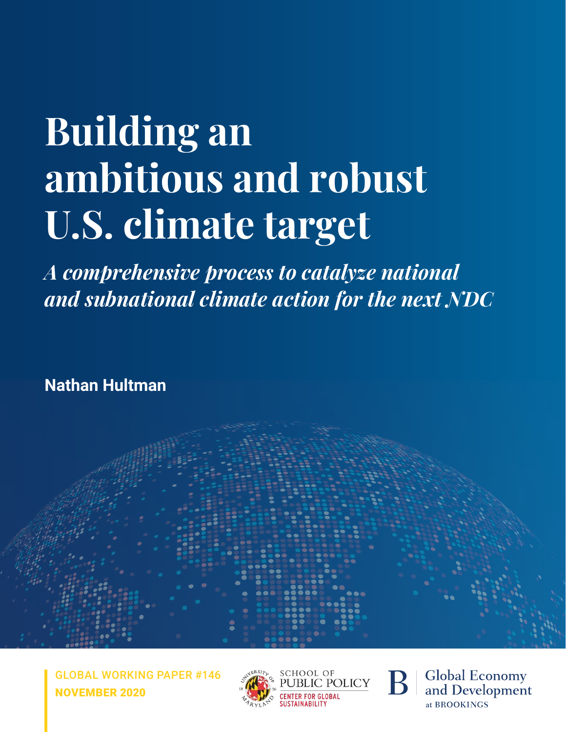# **Building an ambitious and robust U.S. climate target**

*A comprehensive process to catalyze national and subnational climate action for the next NDC*

**Nathan Hultman**

GLOBAL WORKING PAPER #146 NOVEMBER 2020







**Global Economy** and Development at BROOKINGS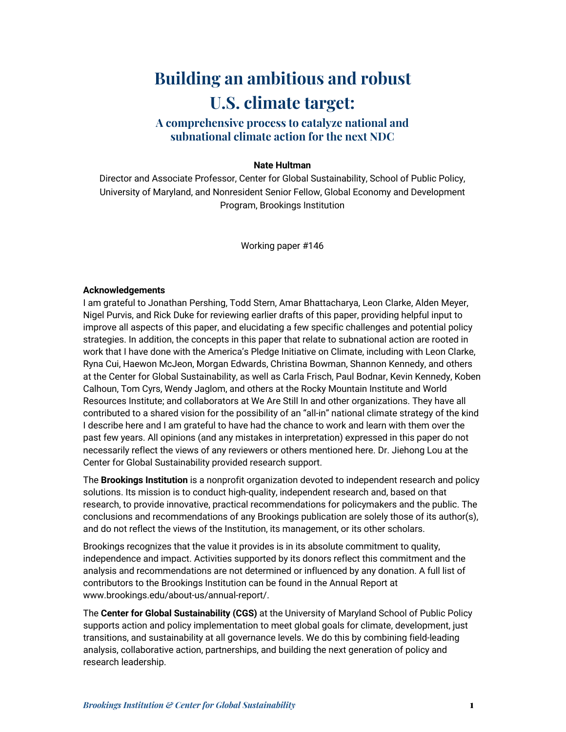#### **Building an ambitious and robust U.S. climate target:**

#### **A comprehensive process to catalyze national and subnational climate action for the next NDC**

#### **Nate Hultman**

Director and Associate Professor, Center for Global Sustainability, School of Public Policy, University of Maryland, and Nonresident Senior Fellow, Global Economy and Development Program, Brookings Institution

Working paper #146

#### **Acknowledgements**

I am grateful to Jonathan Pershing, Todd Stern, Amar Bhattacharya, Leon Clarke, Alden Meyer, Nigel Purvis, and Rick Duke for reviewing earlier drafts of this paper, providing helpful input to improve all aspects of this paper, and elucidating a few specific challenges and potential policy strategies. In addition, the concepts in this paper that relate to subnational action are rooted in work that I have done with the America's Pledge Initiative on Climate, including with Leon Clarke, Ryna Cui, Haewon McJeon, Morgan Edwards, Christina Bowman, Shannon Kennedy, and others at the Center for Global Sustainability, as well as Carla Frisch, Paul Bodnar, Kevin Kennedy, Koben Calhoun, Tom Cyrs, Wendy Jaglom, and others at the Rocky Mountain Institute and World Resources Institute; and collaborators at We Are Still In and other organizations. They have all contributed to a shared vision for the possibility of an "all-in" national climate strategy of the kind I describe here and I am grateful to have had the chance to work and learn with them over the past few years. All opinions (and any mistakes in interpretation) expressed in this paper do not necessarily reflect the views of any reviewers or others mentioned here. Dr. Jiehong Lou at the Center for Global Sustainability provided research support.

The **Brookings Institution** is a nonprofit organization devoted to independent research and policy solutions. Its mission is to conduct high-quality, independent research and, based on that research, to provide innovative, practical recommendations for policymakers and the public. The conclusions and recommendations of any Brookings publication are solely those of its author(s), and do not reflect the views of the Institution, its management, or its other scholars.

Brookings recognizes that the value it provides is in its absolute commitment to quality, independence and impact. Activities supported by its donors reflect this commitment and the analysis and recommendations are not determined or influenced by any donation. A full list of contributors to the Brookings Institution can be found in the Annual Report at www.brookings.edu/about-us/annual-report/.

The **Center for Global Sustainability (CGS)** at the University of Maryland School of Public Policy supports action and policy implementation to meet global goals for climate, development, just transitions, and sustainability at all governance levels. We do this by combining field-leading analysis, collaborative action, partnerships, and building the next generation of policy and research leadership.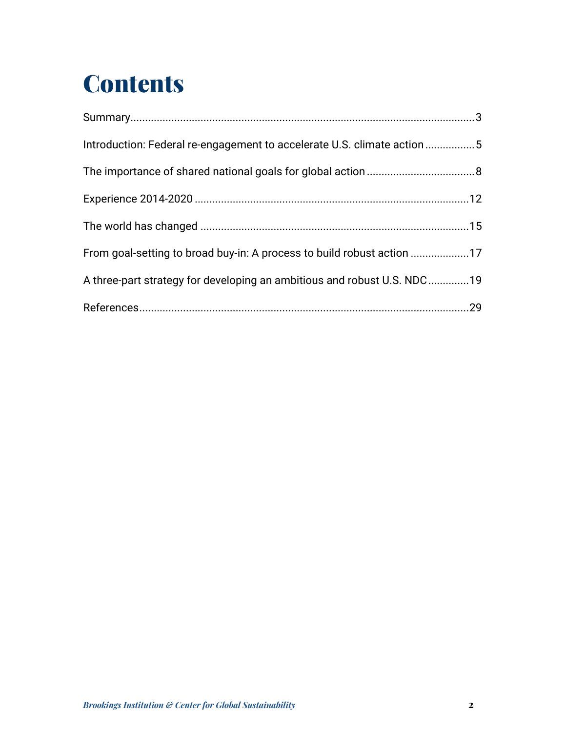# **Contents**

| Introduction: Federal re-engagement to accelerate U.S. climate action5  |  |
|-------------------------------------------------------------------------|--|
|                                                                         |  |
|                                                                         |  |
|                                                                         |  |
| From goal-setting to broad buy-in: A process to build robust action 17  |  |
| A three-part strategy for developing an ambitious and robust U.S. NDC19 |  |
|                                                                         |  |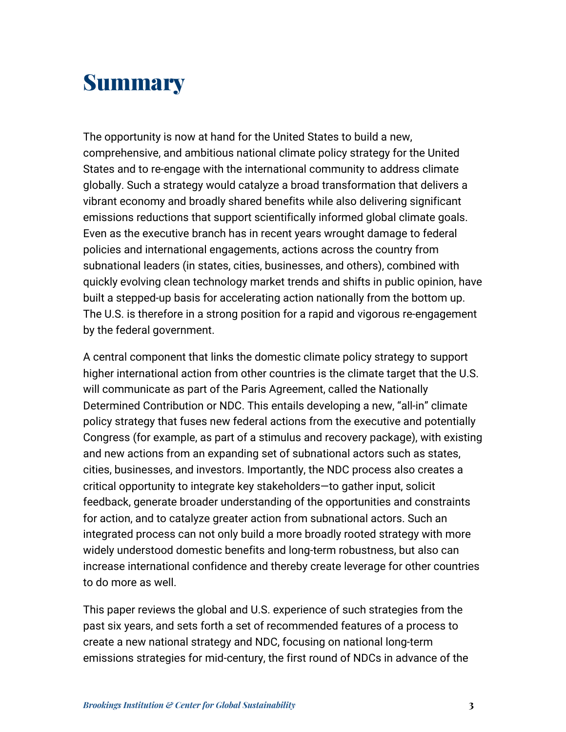#### **Summary**

The opportunity is now at hand for the United States to build a new, comprehensive, and ambitious national climate policy strategy for the United States and to re-engage with the international community to address climate globally. Such a strategy would catalyze a broad transformation that delivers a vibrant economy and broadly shared benefits while also delivering significant emissions reductions that support scientifically informed global climate goals. Even as the executive branch has in recent years wrought damage to federal policies and international engagements, actions across the country from subnational leaders (in states, cities, businesses, and others), combined with quickly evolving clean technology market trends and shifts in public opinion, have built a stepped-up basis for accelerating action nationally from the bottom up. The U.S. is therefore in a strong position for a rapid and vigorous re-engagement by the federal government.

A central component that links the domestic climate policy strategy to support higher international action from other countries is the climate target that the U.S. will communicate as part of the Paris Agreement, called the Nationally Determined Contribution or NDC. This entails developing a new, "all-in" climate policy strategy that fuses new federal actions from the executive and potentially Congress (for example, as part of a stimulus and recovery package), with existing and new actions from an expanding set of subnational actors such as states, cities, businesses, and investors. Importantly, the NDC process also creates a critical opportunity to integrate key stakeholders—to gather input, solicit feedback, generate broader understanding of the opportunities and constraints for action, and to catalyze greater action from subnational actors. Such an integrated process can not only build a more broadly rooted strategy with more widely understood domestic benefits and long-term robustness, but also can increase international confidence and thereby create leverage for other countries to do more as well.

This paper reviews the global and U.S. experience of such strategies from the past six years, and sets forth a set of recommended features of a process to create a new national strategy and NDC, focusing on national long-term emissions strategies for mid-century, the first round of NDCs in advance of the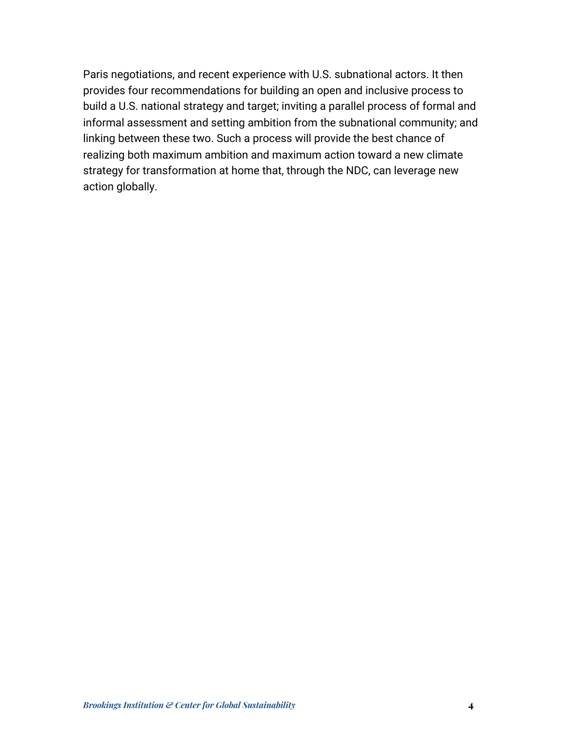Paris negotiations, and recent experience with U.S. subnational actors. It then provides four recommendations for building an open and inclusive process to build a U.S. national strategy and target; inviting a parallel process of formal and informal assessment and setting ambition from the subnational community; and linking between these two. Such a process will provide the best chance of realizing both maximum ambition and maximum action toward a new climate strategy for transformation at home that, through the NDC, can leverage new action globally.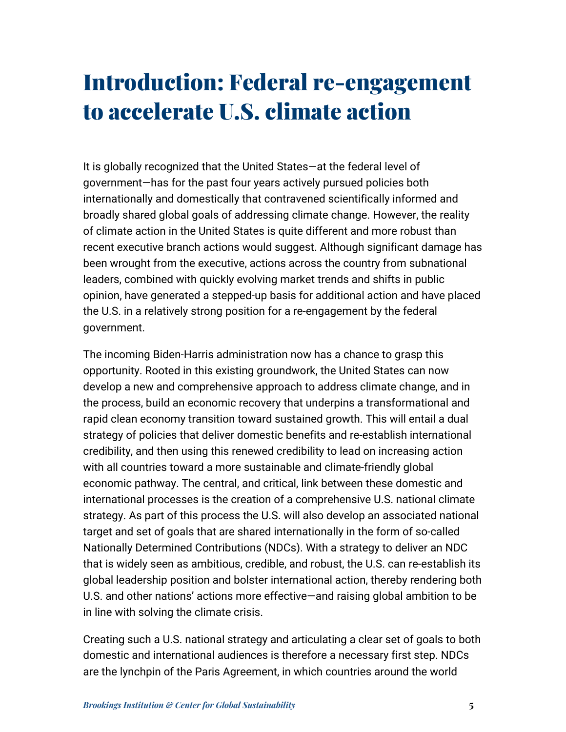### Introduction: Federal re-engagement to accelerate U.S. climate action

It is globally recognized that the United States—at the federal level of government—has for the past four years actively pursued policies both internationally and domestically that contravened scientifically informed and broadly shared global goals of addressing climate change. However, the reality of climate action in the United States is quite different and more robust than recent executive branch actions would suggest. Although significant damage has been wrought from the executive, actions across the country from subnational leaders, combined with quickly evolving market trends and shifts in public opinion, have generated a stepped-up basis for additional action and have placed the U.S. in a relatively strong position for a re-engagement by the federal government.

The incoming Biden-Harris administration now has a chance to grasp this opportunity. Rooted in this existing groundwork, the United States can now develop a new and comprehensive approach to address climate change, and in the process, build an economic recovery that underpins a transformational and rapid clean economy transition toward sustained growth. This will entail a dual strategy of policies that deliver domestic benefits and re-establish international credibility, and then using this renewed credibility to lead on increasing action with all countries toward a more sustainable and climate-friendly global economic pathway. The central, and critical, link between these domestic and international processes is the creation of a comprehensive U.S. national climate strategy. As part of this process the U.S. will also develop an associated national target and set of goals that are shared internationally in the form of so-called Nationally Determined Contributions (NDCs). With a strategy to deliver an NDC that is widely seen as ambitious, credible, and robust, the U.S. can re-establish its global leadership position and bolster international action, thereby rendering both U.S. and other nations' actions more effective—and raising global ambition to be in line with solving the climate crisis.

Creating such a U.S. national strategy and articulating a clear set of goals to both domestic and international audiences is therefore a necessary first step. NDCs are the lynchpin of the Paris Agreement, in which countries around the world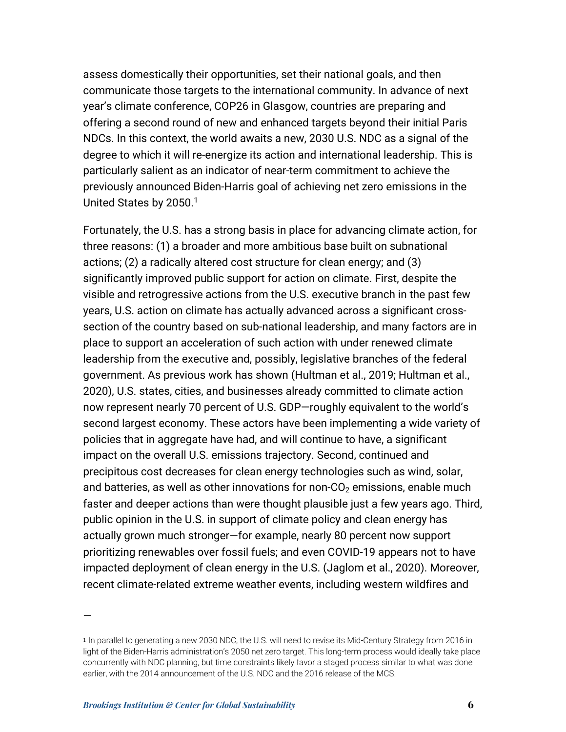assess domestically their opportunities, set their national goals, and then communicate those targets to the international community. In advance of next year's climate conference, COP26 in Glasgow, countries are preparing and offering a second round of new and enhanced targets beyond their initial Paris NDCs. In this context, the world awaits a new, 2030 U.S. NDC as a signal of the degree to which it will re-energize its action and international leadership. This is particularly salient as an indicator of near-term commitment to achieve the previously announced Biden-Harris goal of achieving net zero emissions in the United States by 2050.<sup>1</sup>

Fortunately, the U.S. has a strong basis in place for advancing climate action, for three reasons: (1) a broader and more ambitious base built on subnational actions; (2) a radically altered cost structure for clean energy; and (3) significantly improved public support for action on climate. First, despite the visible and retrogressive actions from the U.S. executive branch in the past few years, U.S. action on climate has actually advanced across a significant crosssection of the country based on sub-national leadership, and many factors are in place to support an acceleration of such action with under renewed climate leadership from the executive and, possibly, legislative branches of the federal government. As previous work has shown (Hultman et al., 2019; Hultman et al., 2020), U.S. states, cities, and businesses already committed to climate action now represent nearly 70 percent of U.S. GDP—roughly equivalent to the world's second largest economy. These actors have been implementing a wide variety of policies that in aggregate have had, and will continue to have, a significant impact on the overall U.S. emissions trajectory. Second, continued and precipitous cost decreases for clean energy technologies such as wind, solar, and batteries, as well as other innovations for non- $CO<sub>2</sub>$  emissions, enable much faster and deeper actions than were thought plausible just a few years ago. Third, public opinion in the U.S. in support of climate policy and clean energy has actually grown much stronger—for example, nearly 80 percent now support prioritizing renewables over fossil fuels; and even COVID-19 appears not to have impacted deployment of clean energy in the U.S. (Jaglom et al., 2020). Moreover, recent climate-related extreme weather events, including western wildfires and

—

<sup>1</sup> In parallel to generating a new 2030 NDC, the U.S. will need to revise its Mid-Century Strategy from 2016 in light of the Biden-Harris administration's 2050 net zero target. This long-term process would ideally take place concurrently with NDC planning, but time constraints likely favor a staged process similar to what was done earlier, with the 2014 announcement of the U.S. NDC and the 2016 release of the MCS.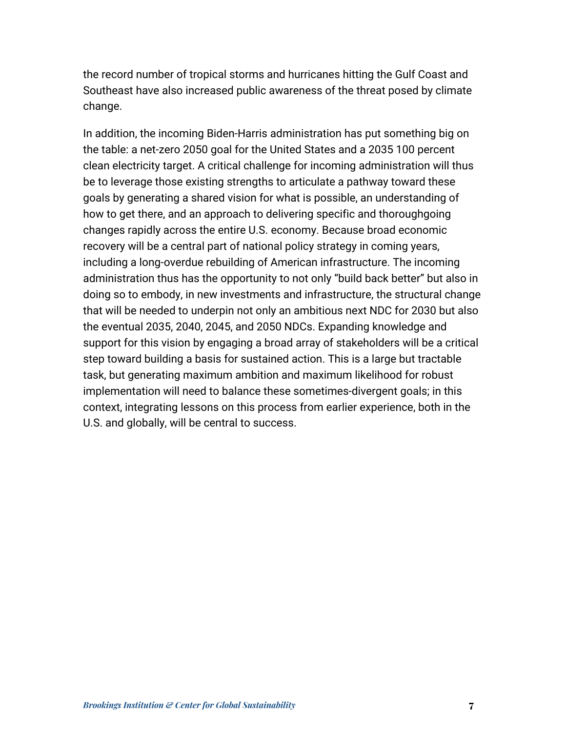the record number of tropical storms and hurricanes hitting the Gulf Coast and Southeast have also increased public awareness of the threat posed by climate change.

In addition, the incoming Biden-Harris administration has put something big on the table: a net-zero 2050 goal for the United States and a 2035 100 percent clean electricity target. A critical challenge for incoming administration will thus be to leverage those existing strengths to articulate a pathway toward these goals by generating a shared vision for what is possible, an understanding of how to get there, and an approach to delivering specific and thoroughgoing changes rapidly across the entire U.S. economy. Because broad economic recovery will be a central part of national policy strategy in coming years, including a long-overdue rebuilding of American infrastructure. The incoming administration thus has the opportunity to not only "build back better" but also in doing so to embody, in new investments and infrastructure, the structural change that will be needed to underpin not only an ambitious next NDC for 2030 but also the eventual 2035, 2040, 2045, and 2050 NDCs. Expanding knowledge and support for this vision by engaging a broad array of stakeholders will be a critical step toward building a basis for sustained action. This is a large but tractable task, but generating maximum ambition and maximum likelihood for robust implementation will need to balance these sometimes-divergent goals; in this context, integrating lessons on this process from earlier experience, both in the U.S. and globally, will be central to success.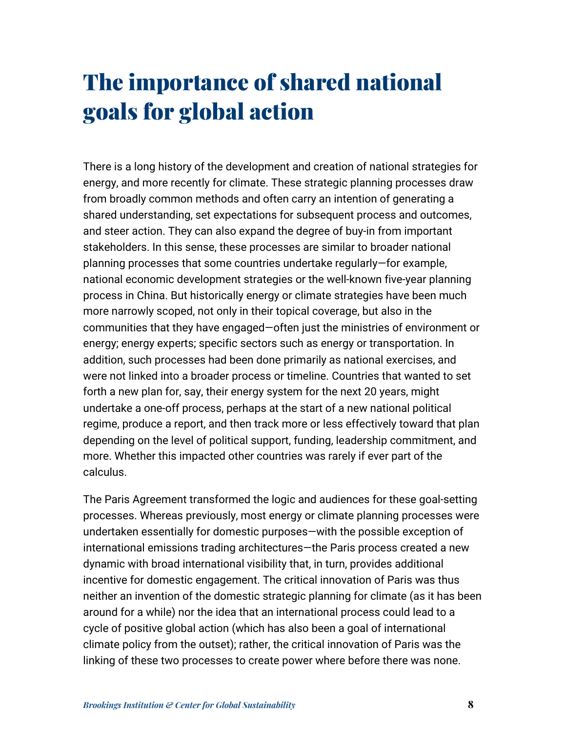# The importance of shared national goals for global action

There is a long history of the development and creation of national strategies for energy, and more recently for climate. These strategic planning processes draw from broadly common methods and often carry an intention of generating a shared understanding, set expectations for subsequent process and outcomes, and steer action. They can also expand the degree of buy-in from important stakeholders. In this sense, these processes are similar to broader national planning processes that some countries undertake regularly—for example, national economic development strategies or the well-known five-year planning process in China. But historically energy or climate strategies have been much more narrowly scoped, not only in their topical coverage, but also in the communities that they have engaged—often just the ministries of environment or energy; energy experts; specific sectors such as energy or transportation. In addition, such processes had been done primarily as national exercises, and were not linked into a broader process or timeline. Countries that wanted to set forth a new plan for, say, their energy system for the next 20 years, might undertake a one-off process, perhaps at the start of a new national political regime, produce a report, and then track more or less effectively toward that plan depending on the level of political support, funding, leadership commitment, and more. Whether this impacted other countries was rarely if ever part of the calculus.

The Paris Agreement transformed the logic and audiences for these goal-setting processes. Whereas previously, most energy or climate planning processes were undertaken essentially for domestic purposes—with the possible exception of international emissions trading architectures—the Paris process created a new dynamic with broad international visibility that, in turn, provides additional incentive for domestic engagement. The critical innovation of Paris was thus neither an invention of the domestic strategic planning for climate (as it has been around for a while) nor the idea that an international process could lead to a cycle of positive global action (which has also been a goal of international climate policy from the outset); rather, the critical innovation of Paris was the linking of these two processes to create power where before there was none.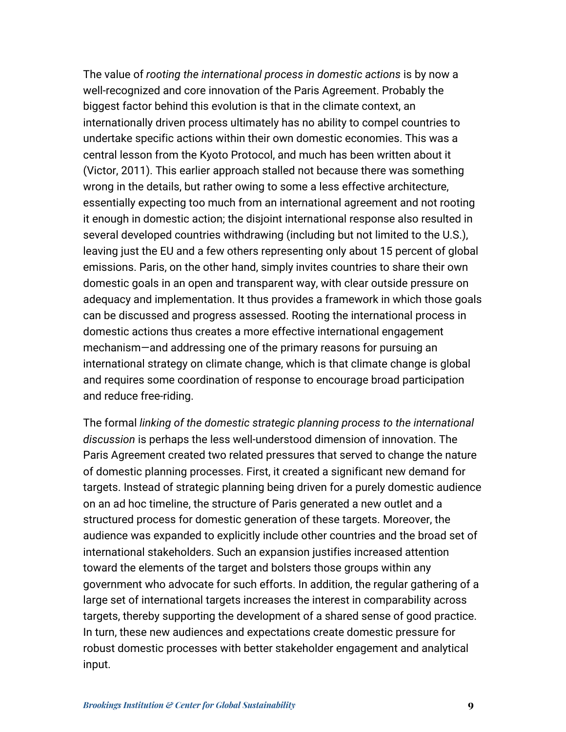The value of *rooting the international process in domestic actions* is by now a well-recognized and core innovation of the Paris Agreement. Probably the biggest factor behind this evolution is that in the climate context, an internationally driven process ultimately has no ability to compel countries to undertake specific actions within their own domestic economies. This was a central lesson from the Kyoto Protocol, and much has been written about it (Victor, 2011). This earlier approach stalled not because there was something wrong in the details, but rather owing to some a less effective architecture, essentially expecting too much from an international agreement and not rooting it enough in domestic action; the disjoint international response also resulted in several developed countries withdrawing (including but not limited to the U.S.), leaving just the EU and a few others representing only about 15 percent of global emissions. Paris, on the other hand, simply invites countries to share their own domestic goals in an open and transparent way, with clear outside pressure on adequacy and implementation. It thus provides a framework in which those goals can be discussed and progress assessed. Rooting the international process in domestic actions thus creates a more effective international engagement mechanism—and addressing one of the primary reasons for pursuing an international strategy on climate change, which is that climate change is global and requires some coordination of response to encourage broad participation and reduce free-riding.

The formal *linking of the domestic strategic planning process to the international discussion* is perhaps the less well-understood dimension of innovation. The Paris Agreement created two related pressures that served to change the nature of domestic planning processes. First, it created a significant new demand for targets. Instead of strategic planning being driven for a purely domestic audience on an ad hoc timeline, the structure of Paris generated a new outlet and a structured process for domestic generation of these targets. Moreover, the audience was expanded to explicitly include other countries and the broad set of international stakeholders. Such an expansion justifies increased attention toward the elements of the target and bolsters those groups within any government who advocate for such efforts. In addition, the regular gathering of a large set of international targets increases the interest in comparability across targets, thereby supporting the development of a shared sense of good practice. In turn, these new audiences and expectations create domestic pressure for robust domestic processes with better stakeholder engagement and analytical input.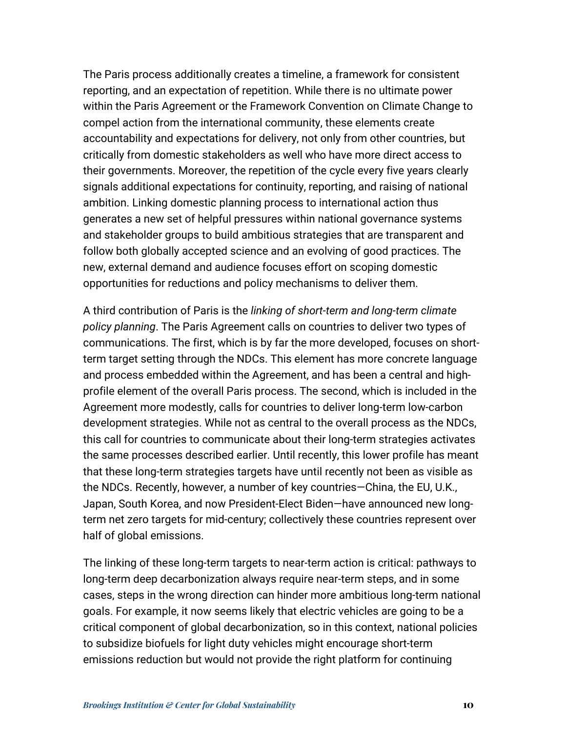The Paris process additionally creates a timeline, a framework for consistent reporting, and an expectation of repetition. While there is no ultimate power within the Paris Agreement or the Framework Convention on Climate Change to compel action from the international community, these elements create accountability and expectations for delivery, not only from other countries, but critically from domestic stakeholders as well who have more direct access to their governments. Moreover, the repetition of the cycle every five years clearly signals additional expectations for continuity, reporting, and raising of national ambition. Linking domestic planning process to international action thus generates a new set of helpful pressures within national governance systems and stakeholder groups to build ambitious strategies that are transparent and follow both globally accepted science and an evolving of good practices. The new, external demand and audience focuses effort on scoping domestic opportunities for reductions and policy mechanisms to deliver them.

A third contribution of Paris is the *linking of short-term and long-term climate policy planning*. The Paris Agreement calls on countries to deliver two types of communications. The first, which is by far the more developed, focuses on shortterm target setting through the NDCs. This element has more concrete language and process embedded within the Agreement, and has been a central and highprofile element of the overall Paris process. The second, which is included in the Agreement more modestly, calls for countries to deliver long-term low-carbon development strategies. While not as central to the overall process as the NDCs, this call for countries to communicate about their long-term strategies activates the same processes described earlier. Until recently, this lower profile has meant that these long-term strategies targets have until recently not been as visible as the NDCs. Recently, however, a number of key countries—China, the EU, U.K., Japan, South Korea, and now President-Elect Biden—have announced new longterm net zero targets for mid-century; collectively these countries represent over half of global emissions.

The linking of these long-term targets to near-term action is critical: pathways to long-term deep decarbonization always require near-term steps, and in some cases, steps in the wrong direction can hinder more ambitious long-term national goals. For example, it now seems likely that electric vehicles are going to be a critical component of global decarbonization, so in this context, national policies to subsidize biofuels for light duty vehicles might encourage short-term emissions reduction but would not provide the right platform for continuing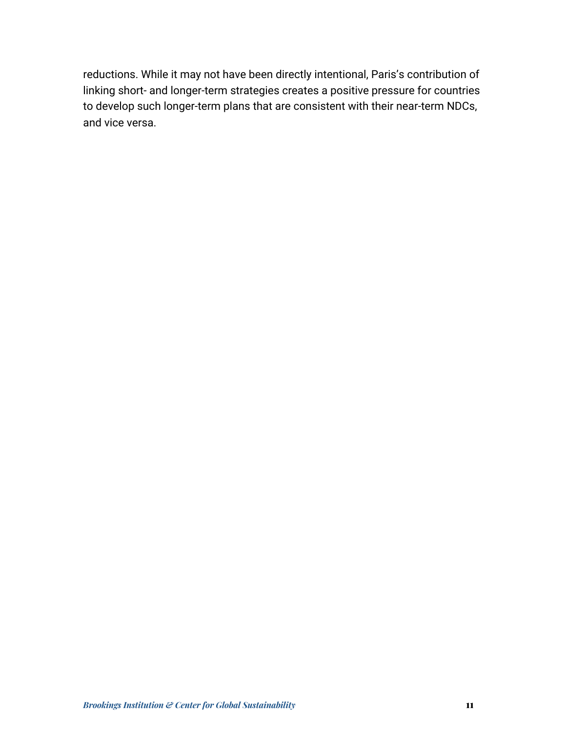reductions. While it may not have been directly intentional, Paris's contribution of linking short- and longer-term strategies creates a positive pressure for countries to develop such longer-term plans that are consistent with their near-term NDCs, and vice versa.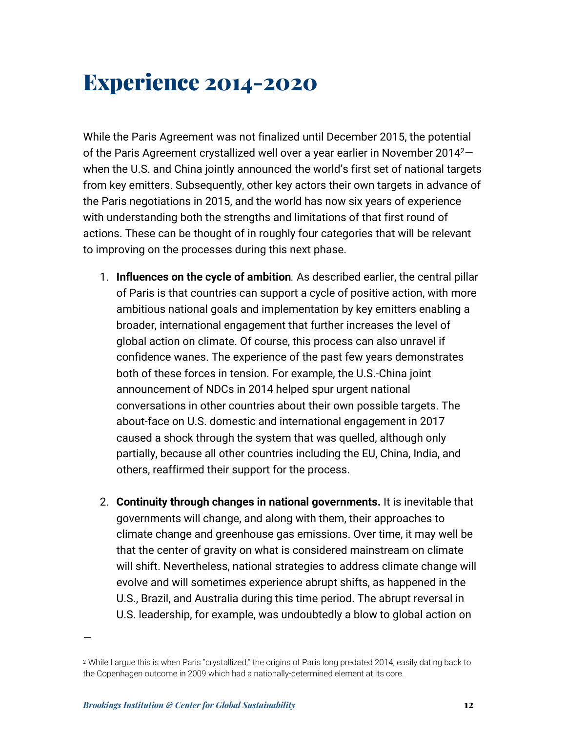### Experience 2014-2020

While the Paris Agreement was not finalized until December 2015, the potential of the Paris Agreement crystallized well over a year earlier in November 2014<sup>2</sup>– when the U.S. and China jointly announced the world's first set of national targets from key emitters. Subsequently, other key actors their own targets in advance of the Paris negotiations in 2015, and the world has now six years of experience with understanding both the strengths and limitations of that first round of actions. These can be thought of in roughly four categories that will be relevant to improving on the processes during this next phase.

- 1. **Influences on the cycle of ambition***.* As described earlier, the central pillar of Paris is that countries can support a cycle of positive action, with more ambitious national goals and implementation by key emitters enabling a broader, international engagement that further increases the level of global action on climate. Of course, this process can also unravel if confidence wanes. The experience of the past few years demonstrates both of these forces in tension. For example, the U.S.-China joint announcement of NDCs in 2014 helped spur urgent national conversations in other countries about their own possible targets. The about-face on U.S. domestic and international engagement in 2017 caused a shock through the system that was quelled, although only partially, because all other countries including the EU, China, India, and others, reaffirmed their support for the process.
- 2. **Continuity through changes in national governments.** It is inevitable that governments will change, and along with them, their approaches to climate change and greenhouse gas emissions. Over time, it may well be that the center of gravity on what is considered mainstream on climate will shift. Nevertheless, national strategies to address climate change will evolve and will sometimes experience abrupt shifts, as happened in the U.S., Brazil, and Australia during this time period. The abrupt reversal in U.S. leadership, for example, was undoubtedly a blow to global action on

—

<sup>2</sup> While I argue this is when Paris "crystallized," the origins of Paris long predated 2014, easily dating back to the Copenhagen outcome in 2009 which had a nationally-determined element at its core.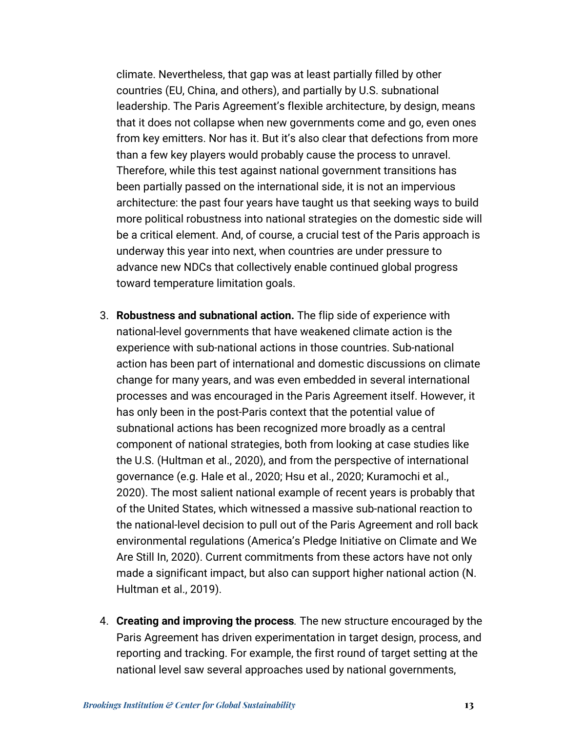climate. Nevertheless, that gap was at least partially filled by other countries (EU, China, and others), and partially by U.S. subnational leadership. The Paris Agreement's flexible architecture, by design, means that it does not collapse when new governments come and go, even ones from key emitters. Nor has it. But it's also clear that defections from more than a few key players would probably cause the process to unravel. Therefore, while this test against national government transitions has been partially passed on the international side, it is not an impervious architecture: the past four years have taught us that seeking ways to build more political robustness into national strategies on the domestic side will be a critical element. And, of course, a crucial test of the Paris approach is underway this year into next, when countries are under pressure to advance new NDCs that collectively enable continued global progress toward temperature limitation goals.

- 3. **Robustness and subnational action.** The flip side of experience with national-level governments that have weakened climate action is the experience with sub-national actions in those countries. Sub-national action has been part of international and domestic discussions on climate change for many years, and was even embedded in several international processes and was encouraged in the Paris Agreement itself. However, it has only been in the post-Paris context that the potential value of subnational actions has been recognized more broadly as a central component of national strategies, both from looking at case studies like the U.S. (Hultman et al., 2020), and from the perspective of international governance (e.g. Hale et al., 2020; Hsu et al., 2020; Kuramochi et al., 2020). The most salient national example of recent years is probably that of the United States, which witnessed a massive sub-national reaction to the national-level decision to pull out of the Paris Agreement and roll back environmental regulations (America's Pledge Initiative on Climate and We Are Still In, 2020). Current commitments from these actors have not only made a significant impact, but also can support higher national action (N. Hultman et al., 2019).
- 4. **Creating and improving the process***.* The new structure encouraged by the Paris Agreement has driven experimentation in target design, process, and reporting and tracking. For example, the first round of target setting at the national level saw several approaches used by national governments,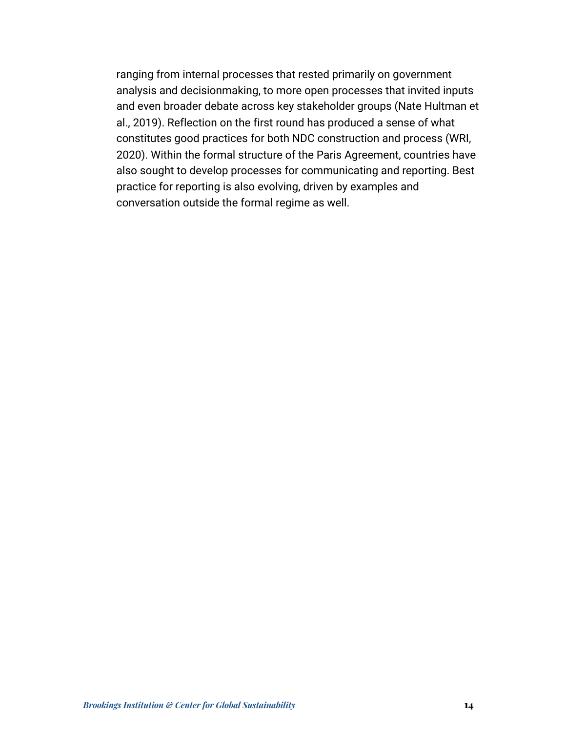ranging from internal processes that rested primarily on government analysis and decisionmaking, to more open processes that invited inputs and even broader debate across key stakeholder groups (Nate Hultman et al., 2019). Reflection on the first round has produced a sense of what constitutes good practices for both NDC construction and process (WRI, 2020). Within the formal structure of the Paris Agreement, countries have also sought to develop processes for communicating and reporting. Best practice for reporting is also evolving, driven by examples and conversation outside the formal regime as well.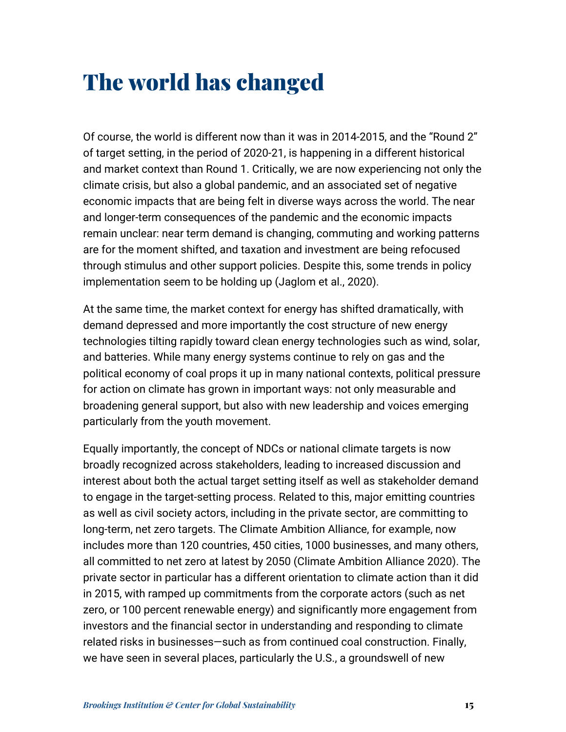### The world has changed

Of course, the world is different now than it was in 2014-2015, and the "Round 2" of target setting, in the period of 2020-21, is happening in a different historical and market context than Round 1. Critically, we are now experiencing not only the climate crisis, but also a global pandemic, and an associated set of negative economic impacts that are being felt in diverse ways across the world. The near and longer-term consequences of the pandemic and the economic impacts remain unclear: near term demand is changing, commuting and working patterns are for the moment shifted, and taxation and investment are being refocused through stimulus and other support policies. Despite this, some trends in policy implementation seem to be holding up (Jaglom et al., 2020).

At the same time, the market context for energy has shifted dramatically, with demand depressed and more importantly the cost structure of new energy technologies tilting rapidly toward clean energy technologies such as wind, solar, and batteries. While many energy systems continue to rely on gas and the political economy of coal props it up in many national contexts, political pressure for action on climate has grown in important ways: not only measurable and broadening general support, but also with new leadership and voices emerging particularly from the youth movement.

Equally importantly, the concept of NDCs or national climate targets is now broadly recognized across stakeholders, leading to increased discussion and interest about both the actual target setting itself as well as stakeholder demand to engage in the target-setting process. Related to this, major emitting countries as well as civil society actors, including in the private sector, are committing to long-term, net zero targets. The Climate Ambition Alliance, for example, now includes more than 120 countries, 450 cities, 1000 businesses, and many others, all committed to net zero at latest by 2050 (Climate Ambition Alliance 2020). The private sector in particular has a different orientation to climate action than it did in 2015, with ramped up commitments from the corporate actors (such as net zero, or 100 percent renewable energy) and significantly more engagement from investors and the financial sector in understanding and responding to climate related risks in businesses—such as from continued coal construction. Finally, we have seen in several places, particularly the U.S., a groundswell of new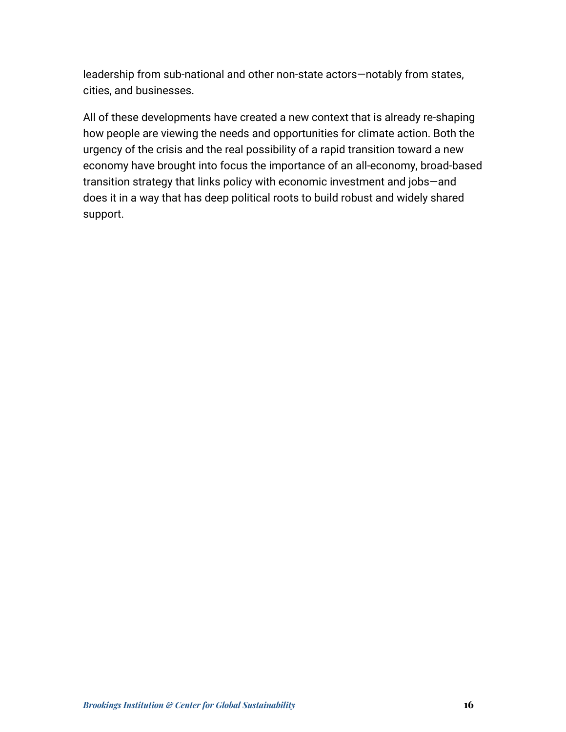leadership from sub-national and other non-state actors—notably from states, cities, and businesses.

All of these developments have created a new context that is already re-shaping how people are viewing the needs and opportunities for climate action. Both the urgency of the crisis and the real possibility of a rapid transition toward a new economy have brought into focus the importance of an all-economy, broad-based transition strategy that links policy with economic investment and jobs—and does it in a way that has deep political roots to build robust and widely shared support.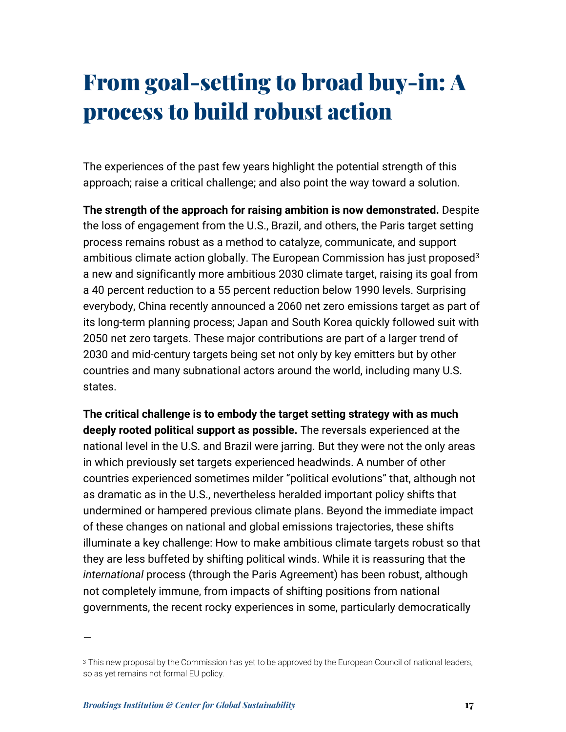# From goal-setting to broad buy-in: A process to build robust action

The experiences of the past few years highlight the potential strength of this approach; raise a critical challenge; and also point the way toward a solution.

**The strength of the approach for raising ambition is now demonstrated.** Despite the loss of engagement from the U.S., Brazil, and others, the Paris target setting process remains robust as a method to catalyze, communicate, and support ambitious climate action globally. The European Commission has just proposed<sup>3</sup> a new and significantly more ambitious 2030 climate target, raising its goal from a 40 percent reduction to a 55 percent reduction below 1990 levels. Surprising everybody, China recently announced a 2060 net zero emissions target as part of its long-term planning process; Japan and South Korea quickly followed suit with 2050 net zero targets. These major contributions are part of a larger trend of 2030 and mid-century targets being set not only by key emitters but by other countries and many subnational actors around the world, including many U.S. states.

**The critical challenge is to embody the target setting strategy with as much deeply rooted political support as possible.** The reversals experienced at the national level in the U.S. and Brazil were jarring. But they were not the only areas in which previously set targets experienced headwinds. A number of other countries experienced sometimes milder "political evolutions" that, although not as dramatic as in the U.S., nevertheless heralded important policy shifts that undermined or hampered previous climate plans. Beyond the immediate impact of these changes on national and global emissions trajectories, these shifts illuminate a key challenge: How to make ambitious climate targets robust so that they are less buffeted by shifting political winds. While it is reassuring that the *international* process (through the Paris Agreement) has been robust, although not completely immune, from impacts of shifting positions from national governments, the recent rocky experiences in some, particularly democratically

—

<sup>&</sup>lt;sup>3</sup> This new proposal by the Commission has yet to be approved by the European Council of national leaders, so as yet remains not formal EU policy.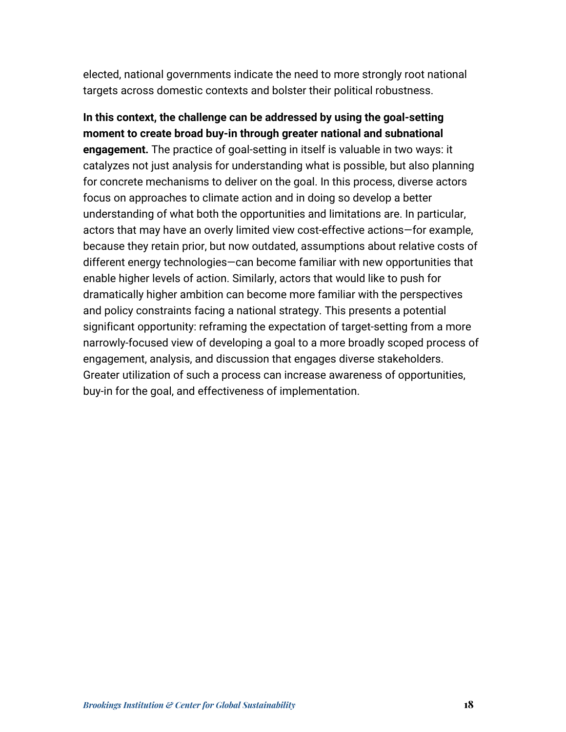elected, national governments indicate the need to more strongly root national targets across domestic contexts and bolster their political robustness.

**In this context, the challenge can be addressed by using the goal-setting moment to create broad buy-in through greater national and subnational engagement.** The practice of goal-setting in itself is valuable in two ways: it catalyzes not just analysis for understanding what is possible, but also planning for concrete mechanisms to deliver on the goal. In this process, diverse actors focus on approaches to climate action and in doing so develop a better understanding of what both the opportunities and limitations are. In particular, actors that may have an overly limited view cost-effective actions—for example, because they retain prior, but now outdated, assumptions about relative costs of different energy technologies—can become familiar with new opportunities that enable higher levels of action. Similarly, actors that would like to push for dramatically higher ambition can become more familiar with the perspectives and policy constraints facing a national strategy. This presents a potential significant opportunity: reframing the expectation of target-setting from a more narrowly-focused view of developing a goal to a more broadly scoped process of engagement, analysis, and discussion that engages diverse stakeholders. Greater utilization of such a process can increase awareness of opportunities, buy-in for the goal, and effectiveness of implementation.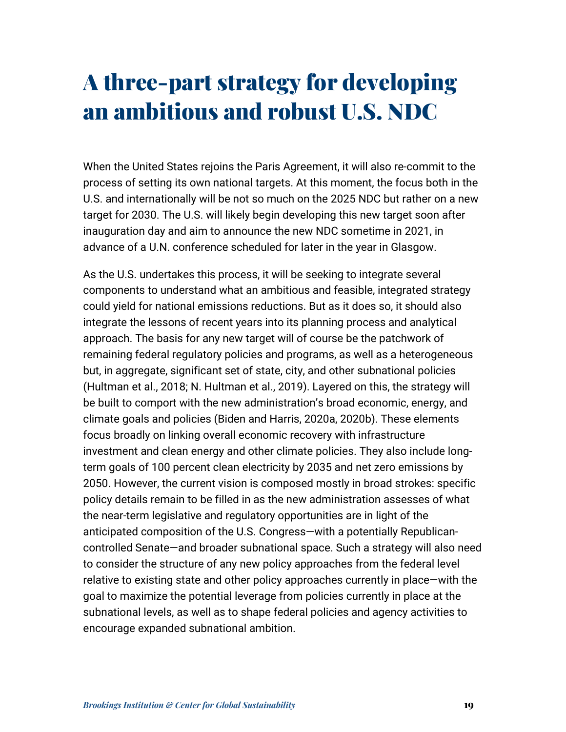### A three-part strategy for developing an ambitious and robust U.S. NDC

When the United States rejoins the Paris Agreement, it will also re-commit to the process of setting its own national targets. At this moment, the focus both in the U.S. and internationally will be not so much on the 2025 NDC but rather on a new target for 2030. The U.S. will likely begin developing this new target soon after inauguration day and aim to announce the new NDC sometime in 2021, in advance of a U.N. conference scheduled for later in the year in Glasgow.

As the U.S. undertakes this process, it will be seeking to integrate several components to understand what an ambitious and feasible, integrated strategy could yield for national emissions reductions. But as it does so, it should also integrate the lessons of recent years into its planning process and analytical approach. The basis for any new target will of course be the patchwork of remaining federal regulatory policies and programs, as well as a heterogeneous but, in aggregate, significant set of state, city, and other subnational policies (Hultman et al., 2018; N. Hultman et al., 2019). Layered on this, the strategy will be built to comport with the new administration's broad economic, energy, and climate goals and policies (Biden and Harris, 2020a, 2020b). These elements focus broadly on linking overall economic recovery with infrastructure investment and clean energy and other climate policies. They also include longterm goals of 100 percent clean electricity by 2035 and net zero emissions by 2050. However, the current vision is composed mostly in broad strokes: specific policy details remain to be filled in as the new administration assesses of what the near-term legislative and regulatory opportunities are in light of the anticipated composition of the U.S. Congress—with a potentially Republicancontrolled Senate—and broader subnational space. Such a strategy will also need to consider the structure of any new policy approaches from the federal level relative to existing state and other policy approaches currently in place—with the goal to maximize the potential leverage from policies currently in place at the subnational levels, as well as to shape federal policies and agency activities to encourage expanded subnational ambition.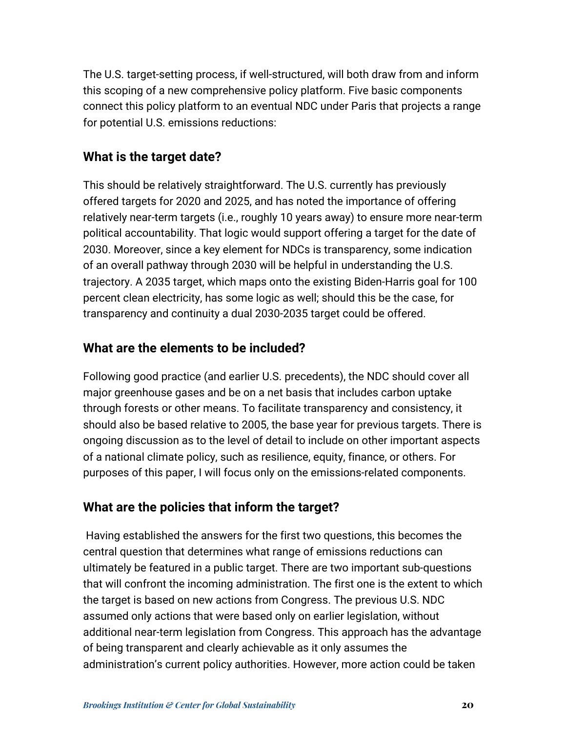The U.S. target-setting process, if well-structured, will both draw from and inform this scoping of a new comprehensive policy platform. Five basic components connect this policy platform to an eventual NDC under Paris that projects a range for potential U.S. emissions reductions:

#### **What is the target date?**

This should be relatively straightforward. The U.S. currently has previously offered targets for 2020 and 2025, and has noted the importance of offering relatively near-term targets (i.e., roughly 10 years away) to ensure more near-term political accountability. That logic would support offering a target for the date of 2030. Moreover, since a key element for NDCs is transparency, some indication of an overall pathway through 2030 will be helpful in understanding the U.S. trajectory. A 2035 target, which maps onto the existing Biden-Harris goal for 100 percent clean electricity, has some logic as well; should this be the case, for transparency and continuity a dual 2030-2035 target could be offered.

#### **What are the elements to be included?**

Following good practice (and earlier U.S. precedents), the NDC should cover all major greenhouse gases and be on a net basis that includes carbon uptake through forests or other means. To facilitate transparency and consistency, it should also be based relative to 2005, the base year for previous targets. There is ongoing discussion as to the level of detail to include on other important aspects of a national climate policy, such as resilience, equity, finance, or others. For purposes of this paper, I will focus only on the emissions-related components.

#### **What are the policies that inform the target?**

Having established the answers for the first two questions, this becomes the central question that determines what range of emissions reductions can ultimately be featured in a public target. There are two important sub-questions that will confront the incoming administration. The first one is the extent to which the target is based on new actions from Congress. The previous U.S. NDC assumed only actions that were based only on earlier legislation, without additional near-term legislation from Congress. This approach has the advantage of being transparent and clearly achievable as it only assumes the administration's current policy authorities. However, more action could be taken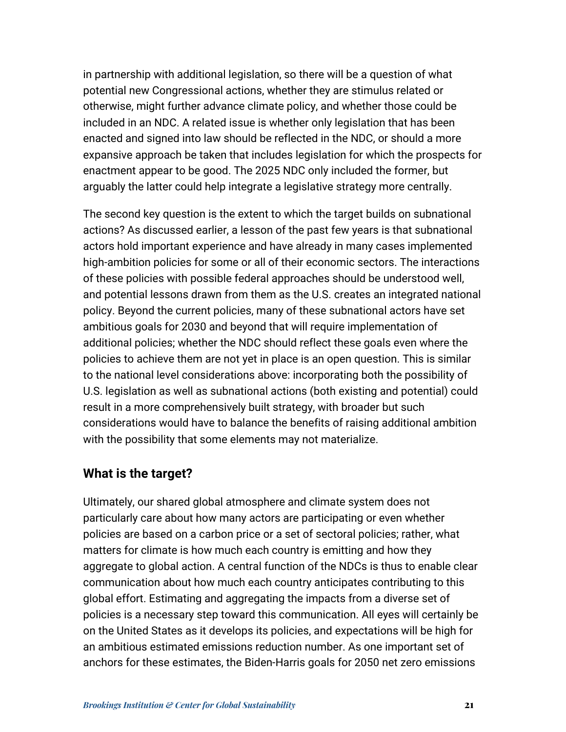in partnership with additional legislation, so there will be a question of what potential new Congressional actions, whether they are stimulus related or otherwise, might further advance climate policy, and whether those could be included in an NDC. A related issue is whether only legislation that has been enacted and signed into law should be reflected in the NDC, or should a more expansive approach be taken that includes legislation for which the prospects for enactment appear to be good. The 2025 NDC only included the former, but arguably the latter could help integrate a legislative strategy more centrally.

The second key question is the extent to which the target builds on subnational actions? As discussed earlier, a lesson of the past few years is that subnational actors hold important experience and have already in many cases implemented high-ambition policies for some or all of their economic sectors. The interactions of these policies with possible federal approaches should be understood well, and potential lessons drawn from them as the U.S. creates an integrated national policy. Beyond the current policies, many of these subnational actors have set ambitious goals for 2030 and beyond that will require implementation of additional policies; whether the NDC should reflect these goals even where the policies to achieve them are not yet in place is an open question. This is similar to the national level considerations above: incorporating both the possibility of U.S. legislation as well as subnational actions (both existing and potential) could result in a more comprehensively built strategy, with broader but such considerations would have to balance the benefits of raising additional ambition with the possibility that some elements may not materialize.

#### **What is the target?**

Ultimately, our shared global atmosphere and climate system does not particularly care about how many actors are participating or even whether policies are based on a carbon price or a set of sectoral policies; rather, what matters for climate is how much each country is emitting and how they aggregate to global action. A central function of the NDCs is thus to enable clear communication about how much each country anticipates contributing to this global effort. Estimating and aggregating the impacts from a diverse set of policies is a necessary step toward this communication. All eyes will certainly be on the United States as it develops its policies, and expectations will be high for an ambitious estimated emissions reduction number. As one important set of anchors for these estimates, the Biden-Harris goals for 2050 net zero emissions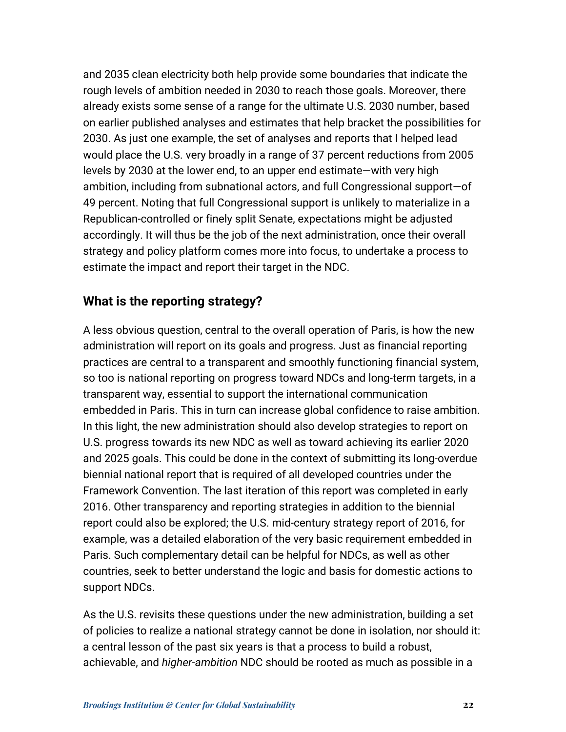and 2035 clean electricity both help provide some boundaries that indicate the rough levels of ambition needed in 2030 to reach those goals. Moreover, there already exists some sense of a range for the ultimate U.S. 2030 number, based on earlier published analyses and estimates that help bracket the possibilities for 2030. As just one example, the set of analyses and reports that I helped lead would place the U.S. very broadly in a range of 37 percent reductions from 2005 levels by 2030 at the lower end, to an upper end estimate—with very high ambition, including from subnational actors, and full Congressional support—of 49 percent. Noting that full Congressional support is unlikely to materialize in a Republican-controlled or finely split Senate, expectations might be adjusted accordingly. It will thus be the job of the next administration, once their overall strategy and policy platform comes more into focus, to undertake a process to estimate the impact and report their target in the NDC.

#### **What is the reporting strategy?**

A less obvious question, central to the overall operation of Paris, is how the new administration will report on its goals and progress. Just as financial reporting practices are central to a transparent and smoothly functioning financial system, so too is national reporting on progress toward NDCs and long-term targets, in a transparent way, essential to support the international communication embedded in Paris. This in turn can increase global confidence to raise ambition. In this light, the new administration should also develop strategies to report on U.S. progress towards its new NDC as well as toward achieving its earlier 2020 and 2025 goals. This could be done in the context of submitting its long-overdue biennial national report that is required of all developed countries under the Framework Convention. The last iteration of this report was completed in early 2016. Other transparency and reporting strategies in addition to the biennial report could also be explored; the U.S. mid-century strategy report of 2016, for example, was a detailed elaboration of the very basic requirement embedded in Paris. Such complementary detail can be helpful for NDCs, as well as other countries, seek to better understand the logic and basis for domestic actions to support NDCs.

As the U.S. revisits these questions under the new administration, building a set of policies to realize a national strategy cannot be done in isolation, nor should it: a central lesson of the past six years is that a process to build a robust, achievable, and *higher-ambition* NDC should be rooted as much as possible in a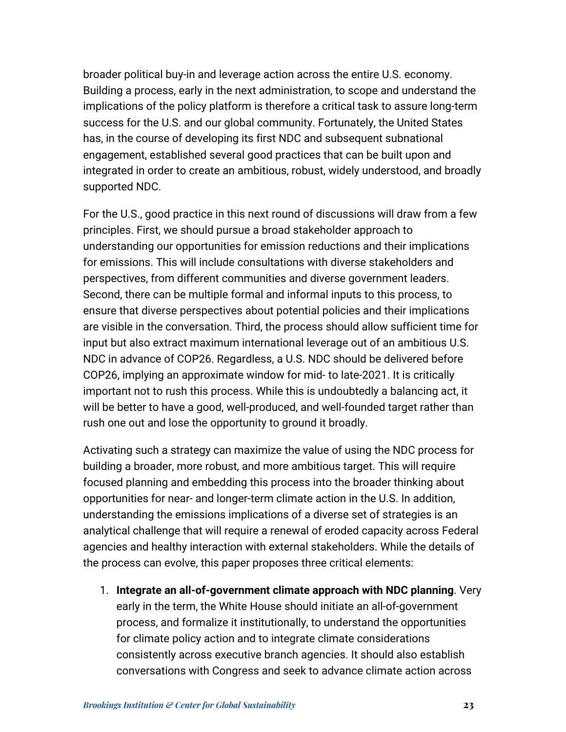broader political buy-in and leverage action across the entire U.S. economy. Building a process, early in the next administration, to scope and understand the implications of the policy platform is therefore a critical task to assure long-term success for the U.S. and our global community. Fortunately, the United States has, in the course of developing its first NDC and subsequent subnational engagement, established several good practices that can be built upon and integrated in order to create an ambitious, robust, widely understood, and broadly supported NDC.

For the U.S., good practice in this next round of discussions will draw from a few principles. First, we should pursue a broad stakeholder approach to understanding our opportunities for emission reductions and their implications for emissions. This will include consultations with diverse stakeholders and perspectives, from different communities and diverse government leaders. Second, there can be multiple formal and informal inputs to this process, to ensure that diverse perspectives about potential policies and their implications are visible in the conversation. Third, the process should allow sufficient time for input but also extract maximum international leverage out of an ambitious U.S. NDC in advance of COP26. Regardless, a U.S. NDC should be delivered before COP26, implying an approximate window for mid- to late-2021. It is critically important not to rush this process. While this is undoubtedly a balancing act, it will be better to have a good, well-produced, and well-founded target rather than rush one out and lose the opportunity to ground it broadly.

Activating such a strategy can maximize the value of using the NDC process for building a broader, more robust, and more ambitious target. This will require focused planning and embedding this process into the broader thinking about opportunities for near- and longer-term climate action in the U.S. In addition, understanding the emissions implications of a diverse set of strategies is an analytical challenge that will require a renewal of eroded capacity across Federal agencies and healthy interaction with external stakeholders. While the details of the process can evolve, this paper proposes three critical elements:

1. **Integrate an all-of-government climate approach with NDC planning**. Very early in the term, the White House should initiate an all-of-government process, and formalize it institutionally, to understand the opportunities for climate policy action and to integrate climate considerations consistently across executive branch agencies. It should also establish conversations with Congress and seek to advance climate action across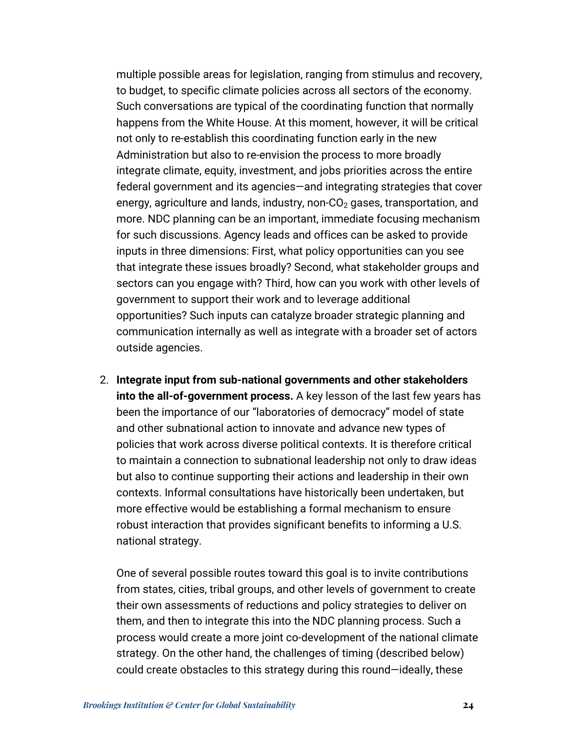multiple possible areas for legislation, ranging from stimulus and recovery, to budget, to specific climate policies across all sectors of the economy. Such conversations are typical of the coordinating function that normally happens from the White House. At this moment, however, it will be critical not only to re-establish this coordinating function early in the new Administration but also to re-envision the process to more broadly integrate climate, equity, investment, and jobs priorities across the entire federal government and its agencies—and integrating strategies that cover energy, agriculture and lands, industry, non- $CO<sub>2</sub>$  gases, transportation, and more. NDC planning can be an important, immediate focusing mechanism for such discussions. Agency leads and offices can be asked to provide inputs in three dimensions: First, what policy opportunities can you see that integrate these issues broadly? Second, what stakeholder groups and sectors can you engage with? Third, how can you work with other levels of government to support their work and to leverage additional opportunities? Such inputs can catalyze broader strategic planning and communication internally as well as integrate with a broader set of actors outside agencies.

2. **Integrate input from sub-national governments and other stakeholders into the all-of-government process.** A key lesson of the last few years has been the importance of our "laboratories of democracy" model of state and other subnational action to innovate and advance new types of policies that work across diverse political contexts. It is therefore critical to maintain a connection to subnational leadership not only to draw ideas but also to continue supporting their actions and leadership in their own contexts. Informal consultations have historically been undertaken, but more effective would be establishing a formal mechanism to ensure robust interaction that provides significant benefits to informing a U.S. national strategy.

One of several possible routes toward this goal is to invite contributions from states, cities, tribal groups, and other levels of government to create their own assessments of reductions and policy strategies to deliver on them, and then to integrate this into the NDC planning process. Such a process would create a more joint co-development of the national climate strategy. On the other hand, the challenges of timing (described below) could create obstacles to this strategy during this round—ideally, these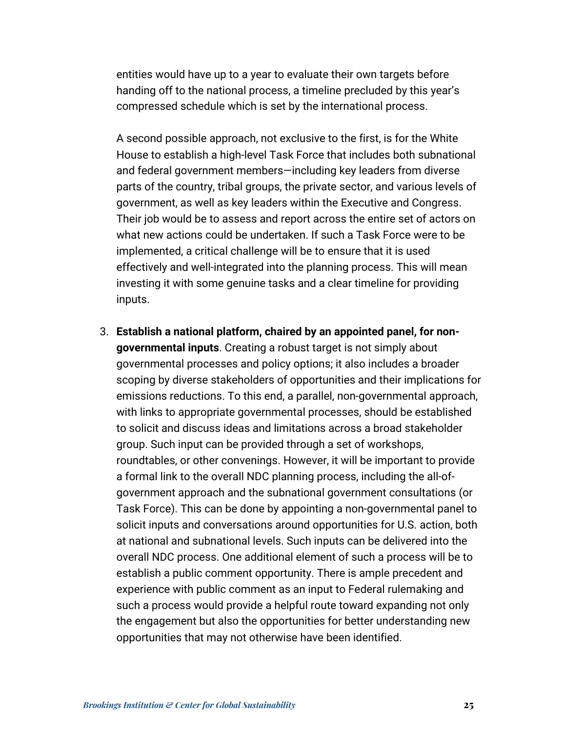entities would have up to a year to evaluate their own targets before handing off to the national process, a timeline precluded by this year's compressed schedule which is set by the international process.

A second possible approach, not exclusive to the first, is for the White House to establish a high-level Task Force that includes both subnational and federal government members—including key leaders from diverse parts of the country, tribal groups, the private sector, and various levels of government, as well as key leaders within the Executive and Congress. Their job would be to assess and report across the entire set of actors on what new actions could be undertaken. If such a Task Force were to be implemented, a critical challenge will be to ensure that it is used effectively and well-integrated into the planning process. This will mean investing it with some genuine tasks and a clear timeline for providing inputs.

3. **Establish a national platform, chaired by an appointed panel, for nongovernmental inputs**. Creating a robust target is not simply about governmental processes and policy options; it also includes a broader scoping by diverse stakeholders of opportunities and their implications for emissions reductions. To this end, a parallel, non-governmental approach, with links to appropriate governmental processes, should be established to solicit and discuss ideas and limitations across a broad stakeholder group. Such input can be provided through a set of workshops, roundtables, or other convenings. However, it will be important to provide a formal link to the overall NDC planning process, including the all-ofgovernment approach and the subnational government consultations (or Task Force). This can be done by appointing a non-governmental panel to solicit inputs and conversations around opportunities for U.S. action, both at national and subnational levels. Such inputs can be delivered into the overall NDC process. One additional element of such a process will be to establish a public comment opportunity. There is ample precedent and experience with public comment as an input to Federal rulemaking and such a process would provide a helpful route toward expanding not only the engagement but also the opportunities for better understanding new opportunities that may not otherwise have been identified.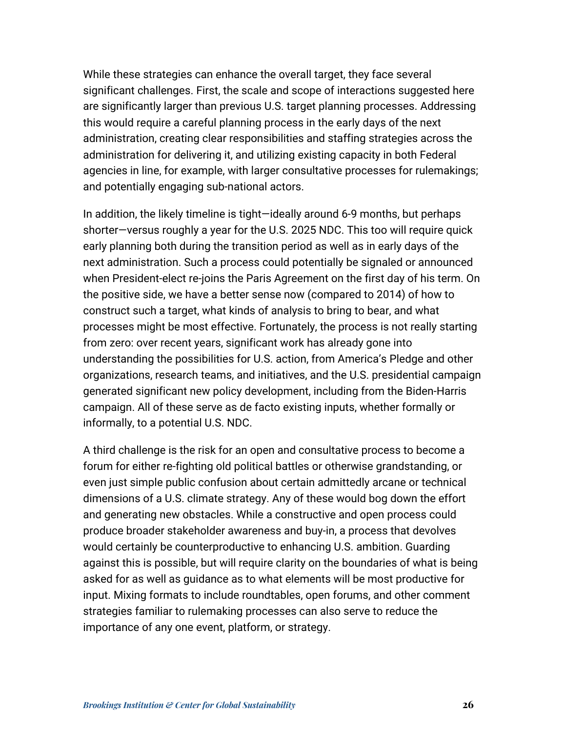While these strategies can enhance the overall target, they face several significant challenges. First, the scale and scope of interactions suggested here are significantly larger than previous U.S. target planning processes. Addressing this would require a careful planning process in the early days of the next administration, creating clear responsibilities and staffing strategies across the administration for delivering it, and utilizing existing capacity in both Federal agencies in line, for example, with larger consultative processes for rulemakings; and potentially engaging sub-national actors.

In addition, the likely timeline is tight—ideally around 6-9 months, but perhaps shorter—versus roughly a year for the U.S. 2025 NDC. This too will require quick early planning both during the transition period as well as in early days of the next administration. Such a process could potentially be signaled or announced when President-elect re-joins the Paris Agreement on the first day of his term. On the positive side, we have a better sense now (compared to 2014) of how to construct such a target, what kinds of analysis to bring to bear, and what processes might be most effective. Fortunately, the process is not really starting from zero: over recent years, significant work has already gone into understanding the possibilities for U.S. action, from America's Pledge and other organizations, research teams, and initiatives, and the U.S. presidential campaign generated significant new policy development, including from the Biden-Harris campaign. All of these serve as de facto existing inputs, whether formally or informally, to a potential U.S. NDC.

A third challenge is the risk for an open and consultative process to become a forum for either re-fighting old political battles or otherwise grandstanding, or even just simple public confusion about certain admittedly arcane or technical dimensions of a U.S. climate strategy. Any of these would bog down the effort and generating new obstacles. While a constructive and open process could produce broader stakeholder awareness and buy-in, a process that devolves would certainly be counterproductive to enhancing U.S. ambition. Guarding against this is possible, but will require clarity on the boundaries of what is being asked for as well as guidance as to what elements will be most productive for input. Mixing formats to include roundtables, open forums, and other comment strategies familiar to rulemaking processes can also serve to reduce the importance of any one event, platform, or strategy.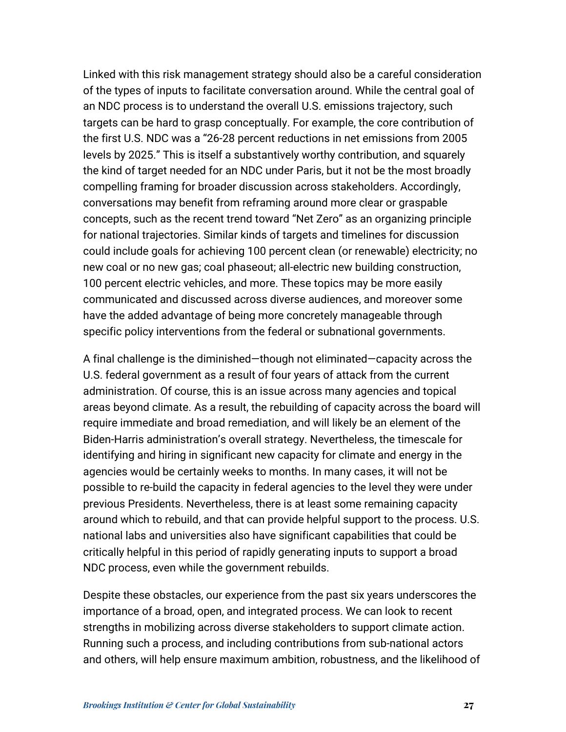Linked with this risk management strategy should also be a careful consideration of the types of inputs to facilitate conversation around. While the central goal of an NDC process is to understand the overall U.S. emissions trajectory, such targets can be hard to grasp conceptually. For example, the core contribution of the first U.S. NDC was a "26-28 percent reductions in net emissions from 2005 levels by 2025." This is itself a substantively worthy contribution, and squarely the kind of target needed for an NDC under Paris, but it not be the most broadly compelling framing for broader discussion across stakeholders. Accordingly, conversations may benefit from reframing around more clear or graspable concepts, such as the recent trend toward "Net Zero" as an organizing principle for national trajectories. Similar kinds of targets and timelines for discussion could include goals for achieving 100 percent clean (or renewable) electricity; no new coal or no new gas; coal phaseout; all-electric new building construction, 100 percent electric vehicles, and more. These topics may be more easily communicated and discussed across diverse audiences, and moreover some have the added advantage of being more concretely manageable through specific policy interventions from the federal or subnational governments.

A final challenge is the diminished—though not eliminated—capacity across the U.S. federal government as a result of four years of attack from the current administration. Of course, this is an issue across many agencies and topical areas beyond climate. As a result, the rebuilding of capacity across the board will require immediate and broad remediation, and will likely be an element of the Biden-Harris administration's overall strategy. Nevertheless, the timescale for identifying and hiring in significant new capacity for climate and energy in the agencies would be certainly weeks to months. In many cases, it will not be possible to re-build the capacity in federal agencies to the level they were under previous Presidents. Nevertheless, there is at least some remaining capacity around which to rebuild, and that can provide helpful support to the process. U.S. national labs and universities also have significant capabilities that could be critically helpful in this period of rapidly generating inputs to support a broad NDC process, even while the government rebuilds.

Despite these obstacles, our experience from the past six years underscores the importance of a broad, open, and integrated process. We can look to recent strengths in mobilizing across diverse stakeholders to support climate action. Running such a process, and including contributions from sub-national actors and others, will help ensure maximum ambition, robustness, and the likelihood of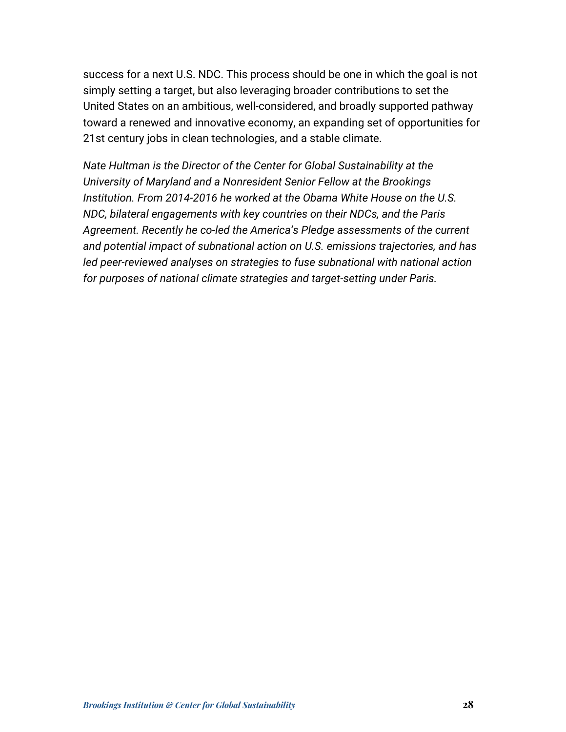success for a next U.S. NDC. This process should be one in which the goal is not simply setting a target, but also leveraging broader contributions to set the United States on an ambitious, well-considered, and broadly supported pathway toward a renewed and innovative economy, an expanding set of opportunities for 21st century jobs in clean technologies, and a stable climate.

*Nate Hultman is the Director of the Center for Global Sustainability at the University of Maryland and a Nonresident Senior Fellow at the Brookings Institution. From 2014-2016 he worked at the Obama White House on the U.S. NDC, bilateral engagements with key countries on their NDCs, and the Paris Agreement. Recently he co-led the America's Pledge assessments of the current and potential impact of subnational action on U.S. emissions trajectories, and has led peer-reviewed analyses on strategies to fuse subnational with national action for purposes of national climate strategies and target-setting under Paris.*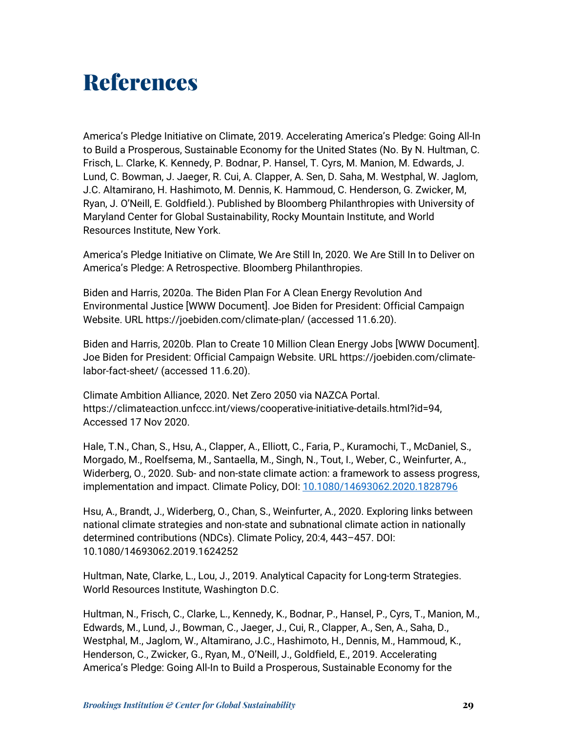### References

America's Pledge Initiative on Climate, 2019. Accelerating America's Pledge: Going All-In to Build a Prosperous, Sustainable Economy for the United States (No. By N. Hultman, C. Frisch, L. Clarke, K. Kennedy, P. Bodnar, P. Hansel, T. Cyrs, M. Manion, M. Edwards, J. Lund, C. Bowman, J. Jaeger, R. Cui, A. Clapper, A. Sen, D. Saha, M. Westphal, W. Jaglom, J.C. Altamirano, H. Hashimoto, M. Dennis, K. Hammoud, C. Henderson, G. Zwicker, M, Ryan, J. O'Neill, E. Goldfield.). Published by Bloomberg Philanthropies with University of Maryland Center for Global Sustainability, Rocky Mountain Institute, and World Resources Institute, New York.

America's Pledge Initiative on Climate, We Are Still In, 2020. We Are Still In to Deliver on America's Pledge: A Retrospective. Bloomberg Philanthropies.

Biden and Harris, 2020a. The Biden Plan For A Clean Energy Revolution And Environmental Justice [WWW Document]. Joe Biden for President: Official Campaign Website. URL https://joebiden.com/climate-plan/ (accessed 11.6.20).

Biden and Harris, 2020b. Plan to Create 10 Million Clean Energy Jobs [WWW Document]. Joe Biden for President: Official Campaign Website. URL https://joebiden.com/climatelabor-fact-sheet/ (accessed 11.6.20).

Climate Ambition Alliance, 2020. Net Zero 2050 via NAZCA Portal. https://climateaction.unfccc.int/views/cooperative-initiative-details.html?id=94, Accessed 17 Nov 2020.

Hale, T.N., Chan, S., Hsu, A., Clapper, A., Elliott, C., Faria, P., Kuramochi, T., McDaniel, S., Morgado, M., Roelfsema, M., Santaella, M., Singh, N., Tout, I., Weber, C., Weinfurter, A., Widerberg, O., 2020. Sub- and non-state climate action: a framework to assess progress, implementation and impact. Climate Policy, DOI: 10.1080/14693062.2020.1828796

Hsu, A., Brandt, J., Widerberg, O., Chan, S., Weinfurter, A., 2020. Exploring links between national climate strategies and non-state and subnational climate action in nationally determined contributions (NDCs). Climate Policy, 20:4, 443–457. DOI: 10.1080/14693062.2019.1624252

Hultman, Nate, Clarke, L., Lou, J., 2019. Analytical Capacity for Long-term Strategies. World Resources Institute, Washington D.C.

Hultman, N., Frisch, C., Clarke, L., Kennedy, K., Bodnar, P., Hansel, P., Cyrs, T., Manion, M., Edwards, M., Lund, J., Bowman, C., Jaeger, J., Cui, R., Clapper, A., Sen, A., Saha, D., Westphal, M., Jaglom, W., Altamirano, J.C., Hashimoto, H., Dennis, M., Hammoud, K., Henderson, C., Zwicker, G., Ryan, M., O'Neill, J., Goldfield, E., 2019. Accelerating America's Pledge: Going All-In to Build a Prosperous, Sustainable Economy for the